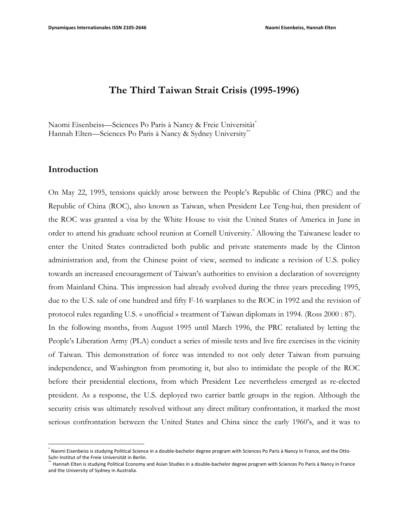# **The Third Taiwan Strait Crisis (1995-1996)**

Naomi Eisenbeiss—Sciences Po Paris à Nancy & Freie Universität\* Hannah Elten—Sciences Po Paris à Nancy & Sydney University\*\*

## **Introduction**

 

On May 22, 1995, tensions quickly arose between the People's Republic of China (PRC) and the Republic of China (ROC), also known as Taiwan, when President Lee Teng-hui, then president of the ROC was granted a visa by the White House to visit the United States of America in June in order to attend his graduate school reunion at Cornell University. \* Allowing the Taiwanese leader to enter the United States contradicted both public and private statements made by the Clinton administration and, from the Chinese point of view, seemed to indicate a revision of U.S. policy towards an increased encouragement of Taiwan's authorities to envision a declaration of sovereignty from Mainland China. This impression had already evolved during the three years preceding 1995, due to the U.S. sale of one hundred and fifty F-16 warplanes to the ROC in 1992 and the revision of protocol rules regarding U.S. « unofficial » treatment of Taiwan diplomats in 1994. (Ross 2000 : 87). In the following months, from August 1995 until March 1996, the PRC retaliated by letting the People's Liberation Army (PLA) conduct a series of missile tests and live fire exercises in the vicinity of Taiwan. This demonstration of force was intended to not only deter Taiwan from pursuing independence, and Washington from promoting it, but also to intimidate the people of the ROC before their presidential elections, from which President Lee nevertheless emerged as re-elected president. As a response, the U.S. deployed two carrier battle groups in the region. Although the security crisis was ultimately resolved without any direct military confrontation, it marked the most serious confrontation between the United States and China since the early 1960's, and it was to

Naomi Eisenbeiss is studying Political Science in a double-bachelor degree program with Sciences Po Paris à Nancy in France, and the Otto-Suhr-Institut of the Freie Universität in Berlin.

Hannah Elten is studying Political Economy and Asian Studies in a double-bachelor degree program with Sciences Po Paris à Nancy in France and the University of Sydney in Australia.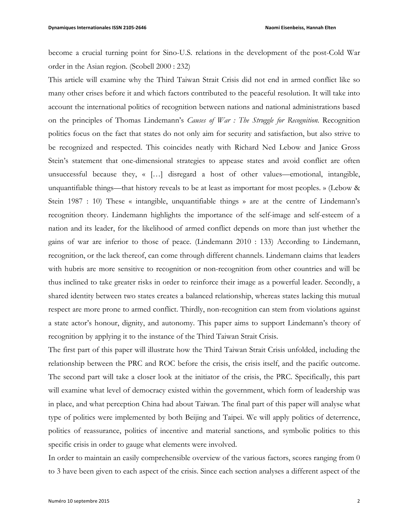become a crucial turning point for Sino-U.S. relations in the development of the post-Cold War order in the Asian region. (Scobell 2000 : 232)

This article will examine why the Third Taiwan Strait Crisis did not end in armed conflict like so many other crises before it and which factors contributed to the peaceful resolution. It will take into account the international politics of recognition between nations and national administrations based on the principles of Thomas Lindemann's *Causes of War : The Struggle for Recognition.* Recognition politics focus on the fact that states do not only aim for security and satisfaction, but also strive to be recognized and respected. This coincides neatly with Richard Ned Lebow and Janice Gross Stein's statement that one-dimensional strategies to appease states and avoid conflict are often unsuccessful because they, « […] disregard a host of other values—emotional, intangible, unquantifiable things—that history reveals to be at least as important for most peoples. » (Lebow & Stein 1987 : 10) These « intangible, unquantifiable things » are at the centre of Lindemann's recognition theory. Lindemann highlights the importance of the self-image and self-esteem of a nation and its leader, for the likelihood of armed conflict depends on more than just whether the gains of war are inferior to those of peace. (Lindemann 2010 : 133) According to Lindemann, recognition, or the lack thereof, can come through different channels. Lindemann claims that leaders with hubris are more sensitive to recognition or non-recognition from other countries and will be thus inclined to take greater risks in order to reinforce their image as a powerful leader. Secondly, a shared identity between two states creates a balanced relationship, whereas states lacking this mutual respect are more prone to armed conflict. Thirdly, non-recognition can stem from violations against a state actor's honour, dignity, and autonomy. This paper aims to support Lindemann's theory of recognition by applying it to the instance of the Third Taiwan Strait Crisis.

The first part of this paper will illustrate how the Third Taiwan Strait Crisis unfolded, including the relationship between the PRC and ROC before the crisis, the crisis itself, and the pacific outcome. The second part will take a closer look at the initiator of the crisis, the PRC. Specifically, this part will examine what level of democracy existed within the government, which form of leadership was in place, and what perception China had about Taiwan. The final part of this paper will analyse what type of politics were implemented by both Beijing and Taipei. We will apply politics of deterrence, politics of reassurance, politics of incentive and material sanctions, and symbolic politics to this specific crisis in order to gauge what elements were involved.

In order to maintain an easily comprehensible overview of the various factors, scores ranging from 0 to 3 have been given to each aspect of the crisis. Since each section analyses a different aspect of the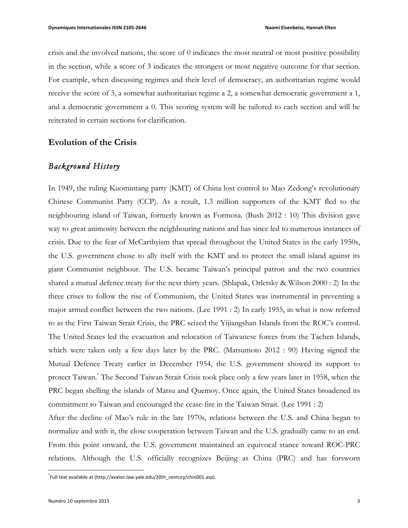crisis and the involved nations, the score of 0 indicates the most neutral or most positive possibility in the section, while a score of 3 indicates the strongest or most negative outcome for that section. For example, when discussing regimes and their level of democracy, an authoritarian regime would receive the score of 3, a somewhat authoritarian regime a 2, a somewhat democratic government a 1, and a democratic government a 0. This scoring system will be tailored to each section and will be reiterated in certain sections for clarification.

## **Evolution of the Crisis**

## *Background History*

In 1949, the ruling Kuomintang party (KMT) of China lost control to Mao Zedong's revolutionary Chinese Communist Party (CCP). As a result, 1.3 million supporters of the KMT fled to the neighbouring island of Taiwan, formerly known as Formosa. (Bush 2012 : 10) This division gave way to great animosity between the neighbouring nations and has since led to numerous instances of crisis. Due to the fear of McCarthyism that spread throughout the United States in the early 1950s, the U.S. government chose to ally itself with the KMT and to protect the small island against its giant Communist neighbour. The U.S. became Taiwan's principal patron and the two countries shared a mutual defence treaty for the next thirty years. (Shlapak, Orletsky & Wilson 2000 : 2) In the three crises to follow the rise of Communism, the United States was instrumental in preventing a major armed conflict between the two nations. (Lee 1991 : 2) In early 1955, in what is now referred to as the First Taiwan Strait Crisis, the PRC seized the Yijiangshan Islands from the ROC's control. The United States led the evacuation and relocation of Taiwanese forces from the Tachen Islands, which were taken only a few days later by the PRC. (Matsumoto 2012 : 90) Having signed the Mutual Defence Treaty earlier in December 1954, the U.S. government showed its support to protect Taiwan.\* The Second Taiwan Strait Crisis took place only a few years later in 1958, when the PRC began shelling the islands of Matsu and Quemoy. Once again, the United States broadened its commitment to Taiwan and encouraged the cease-fire in the Taiwan Strait. (Lee 1991 : 2)

After the decline of Mao's rule in the late 1970s, relations between the U.S. and China began to normalize and with it, the close cooperation between Taiwan and the U.S. gradually came to an end. From this point onward, the U.S. government maintained an equivocal stance toward ROC-PRC relations. Although the U.S. officially recognizes Beijing as China (PRC) and has forsworn

 \* Full text available at (http://avalon.law.yale.edu/20th\_century/chin001.asp).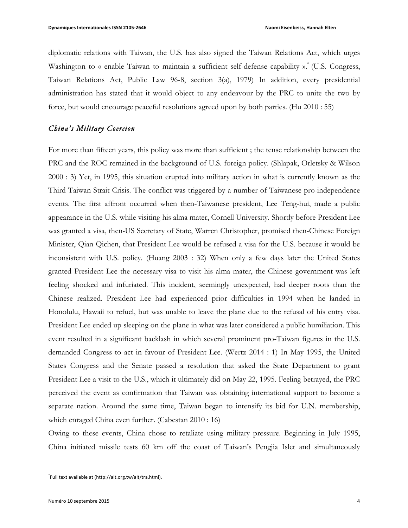diplomatic relations with Taiwan, the U.S. has also signed the Taiwan Relations Act, which urges Washington to « enable Taiwan to maintain a sufficient self-defense capability ».<sup>\*</sup> (U.S. Congress, Taiwan Relations Act, Public Law 96-8, section 3(a), 1979) In addition, every presidential administration has stated that it would object to any endeavour by the PRC to unite the two by force, but would encourage peaceful resolutions agreed upon by both parties. (Hu 2010 : 55)

#### *China's Military Coercion*

For more than fifteen years, this policy was more than sufficient ; the tense relationship between the PRC and the ROC remained in the background of U.S. foreign policy. (Shlapak, Orletsky & Wilson 2000 : 3) Yet, in 1995, this situation erupted into military action in what is currently known as the Third Taiwan Strait Crisis. The conflict was triggered by a number of Taiwanese pro-independence events. The first affront occurred when then-Taiwanese president, Lee Teng-hui, made a public appearance in the U.S. while visiting his alma mater, Cornell University. Shortly before President Lee was granted a visa, then-US Secretary of State, Warren Christopher, promised then-Chinese Foreign Minister, Qian Qichen, that President Lee would be refused a visa for the U.S. because it would be inconsistent with U.S. policy. (Huang 2003 : 32) When only a few days later the United States granted President Lee the necessary visa to visit his alma mater, the Chinese government was left feeling shocked and infuriated. This incident, seemingly unexpected, had deeper roots than the Chinese realized. President Lee had experienced prior difficulties in 1994 when he landed in Honolulu, Hawaii to refuel, but was unable to leave the plane due to the refusal of his entry visa. President Lee ended up sleeping on the plane in what was later considered a public humiliation. This event resulted in a significant backlash in which several prominent pro-Taiwan figures in the U.S. demanded Congress to act in favour of President Lee. (Wertz 2014 : 1) In May 1995, the United States Congress and the Senate passed a resolution that asked the State Department to grant President Lee a visit to the U.S., which it ultimately did on May 22, 1995. Feeling betrayed, the PRC perceived the event as confirmation that Taiwan was obtaining international support to become a separate nation. Around the same time, Taiwan began to intensify its bid for U.N. membership, which enraged China even further. (Cabestan 2010 : 16)

Owing to these events, China chose to retaliate using military pressure. Beginning in July 1995, China initiated missile tests 60 km off the coast of Taiwan's Pengjia Islet and simultaneously

 \* Full text available at (http://ait.org.tw/ait/tra.html).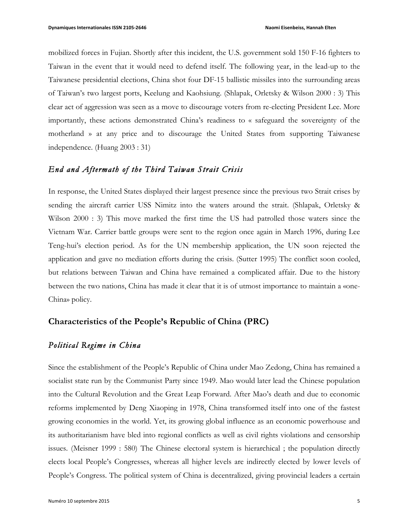mobilized forces in Fujian. Shortly after this incident, the U.S. government sold 150 F-16 fighters to Taiwan in the event that it would need to defend itself. The following year, in the lead-up to the Taiwanese presidential elections, China shot four DF-15 ballistic missiles into the surrounding areas of Taiwan's two largest ports, Keelung and Kaohsiung. (Shlapak, Orletsky & Wilson 2000 : 3) This clear act of aggression was seen as a move to discourage voters from re-electing President Lee. More importantly, these actions demonstrated China's readiness to « safeguard the sovereignty of the motherland » at any price and to discourage the United States from supporting Taiwanese independence. (Huang 2003 : 31)

#### *End and Aftermath of the Third Taiwan Strait Crisis*

In response, the United States displayed their largest presence since the previous two Strait crises by sending the aircraft carrier USS Nimitz into the waters around the strait. (Shlapak, Orletsky & Wilson 2000 : 3) This move marked the first time the US had patrolled those waters since the Vietnam War. Carrier battle groups were sent to the region once again in March 1996, during Lee Teng-hui's election period. As for the UN membership application, the UN soon rejected the application and gave no mediation efforts during the crisis. (Sutter 1995) The conflict soon cooled, but relations between Taiwan and China have remained a complicated affair. Due to the history between the two nations, China has made it clear that it is of utmost importance to maintain a «one-China» policy.

### **Characteristics of the People's Republic of China (PRC)**

## *Political Regime in China*

Since the establishment of the People's Republic of China under Mao Zedong, China has remained a socialist state run by the Communist Party since 1949. Mao would later lead the Chinese population into the Cultural Revolution and the Great Leap Forward. After Mao's death and due to economic reforms implemented by Deng Xiaoping in 1978, China transformed itself into one of the fastest growing economies in the world. Yet, its growing global influence as an economic powerhouse and its authoritarianism have bled into regional conflicts as well as civil rights violations and censorship issues. (Meisner 1999 : 580) The Chinese electoral system is hierarchical ; the population directly elects local People's Congresses, whereas all higher levels are indirectly elected by lower levels of People's Congress. The political system of China is decentralized, giving provincial leaders a certain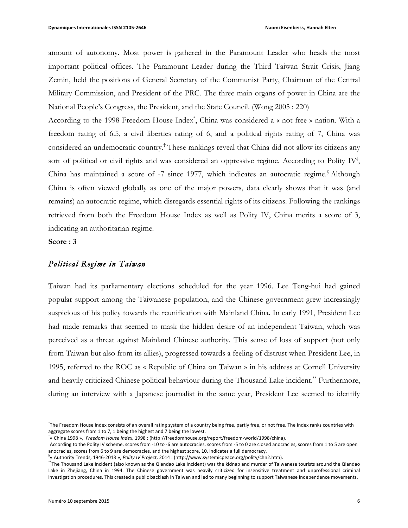amount of autonomy. Most power is gathered in the Paramount Leader who heads the most important political offices. The Paramount Leader during the Third Taiwan Strait Crisis, Jiang Zemin, held the positions of General Secretary of the Communist Party, Chairman of the Central Military Commission, and President of the PRC. The three main organs of power in China are the National People's Congress, the President, and the State Council. (Wong 2005 : 220)

According to the 1998 Freedom House Index\* , China was considered a « not free » nation. With a freedom rating of 6.5, a civil liberties rating of 6, and a political rights rating of 7, China was considered an undemocratic country.† These rankings reveal that China did not allow its citizens any sort of political or civil rights and was considered an oppressive regime. According to Polity IV<sup>‡</sup>, China has maintained a score of -7 since 1977, which indicates an autocratic regime.<sup>§</sup> Although China is often viewed globally as one of the major powers, data clearly shows that it was (and remains) an autocratic regime, which disregards essential rights of its citizens. Following the rankings retrieved from both the Freedom House Index as well as Polity IV, China merits a score of 3, indicating an authoritarian regime.

**Score : 3**

#### *Political Regime in Taiwan*

 

Taiwan had its parliamentary elections scheduled for the year 1996. Lee Teng-hui had gained popular support among the Taiwanese population, and the Chinese government grew increasingly suspicious of his policy towards the reunification with Mainland China. In early 1991, President Lee had made remarks that seemed to mask the hidden desire of an independent Taiwan, which was perceived as a threat against Mainland Chinese authority. This sense of loss of support (not only from Taiwan but also from its allies), progressed towards a feeling of distrust when President Lee, in 1995, referred to the ROC as « Republic of China on Taiwan » in his address at Cornell University and heavily criticized Chinese political behaviour during the Thousand Lake incident.\*\* Furthermore, during an interview with a Japanese journalist in the same year, President Lee seemed to identify

<sup>.&</sup>lt;br>The Freedom House Index consists of an overall rating system of a country being free, partly free, or not free. The Index ranks countries with aggregate scores from 1 to 7, 1 being the highest and 7 being the lowest.

<sup>&</sup>lt;sup>\*</sup>« China 1998 », Freedom House Index, 1998 : (http://freedomhouse.org/report/freedom-world/1998/china).

<sup>\*</sup>According to the Polity IV scheme, scores from -10 to -6 are autocracies, scores from -5 to 0 are closed anocracies, scores from 1 to 5 are open anocracies, scores from 6 to 9 are democracies, and the highest score, 10, indicates a full democracy.

<sup>&</sup>lt;sup>§</sup>« Authority Trends, 1946-2013 », *Polity IV Project*, 2014 : (http://www.systemicpeace.org/polity/chn2.htm).

<sup>\*\*</sup>The Thousand Lake Incident (also known as the Qiandao Lake Incident) was the kidnap and murder of Taiwanese tourists around the Qiandao Lake in Zhejiang, China in 1994. The Chinese government was heavily criticized for insensitive treatment and unprofessional criminal investigation procedures. This created a public backlash in Taiwan and led to many beginning to support Taiwanese independence movements.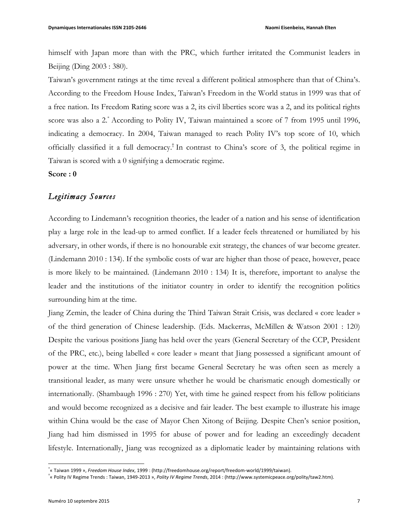himself with Japan more than with the PRC, which further irritated the Communist leaders in Beijing (Ding 2003 : 380).

Taiwan's government ratings at the time reveal a different political atmosphere than that of China's. According to the Freedom House Index, Taiwan's Freedom in the World status in 1999 was that of a free nation. Its Freedom Rating score was a 2, its civil liberties score was a 2, and its political rights score was also a 2.\* According to Polity IV, Taiwan maintained a score of 7 from 1995 until 1996, indicating a democracy. In 2004, Taiwan managed to reach Polity IV's top score of 10, which officially classified it a full democracy.† In contrast to China's score of 3, the political regime in Taiwan is scored with a 0 signifying a democratic regime.

#### **Score : 0**

## *Legitimacy Sources*

According to Lindemann's recognition theories, the leader of a nation and his sense of identification play a large role in the lead-up to armed conflict. If a leader feels threatened or humiliated by his adversary, in other words, if there is no honourable exit strategy, the chances of war become greater. (Lindemann 2010 : 134). If the symbolic costs of war are higher than those of peace, however, peace is more likely to be maintained. (Lindemann 2010 : 134) It is, therefore, important to analyse the leader and the institutions of the initiator country in order to identify the recognition politics surrounding him at the time.

Jiang Zemin, the leader of China during the Third Taiwan Strait Crisis, was declared « core leader » of the third generation of Chinese leadership. (Eds. Mackerras, McMillen & Watson 2001 : 120) Despite the various positions Jiang has held over the years (General Secretary of the CCP, President of the PRC, etc.), being labelled « core leader » meant that Jiang possessed a significant amount of power at the time. When Jiang first became General Secretary he was often seen as merely a transitional leader, as many were unsure whether he would be charismatic enough domestically or internationally. (Shambaugh 1996 : 270) Yet, with time he gained respect from his fellow politicians and would become recognized as a decisive and fair leader. The best example to illustrate his image within China would be the case of Mayor Chen Xitong of Beijing. Despite Chen's senior position, Jiang had him dismissed in 1995 for abuse of power and for leading an exceedingly decadent lifestyle. Internationally, Jiang was recognized as a diplomatic leader by maintaining relations with

 

<sup>\*</sup> « Taiwan 1999 », *Freedom House Index*, 1999 : (http://freedomhouse.org/report/freedom-world/1999/taiwan). 

<sup>&</sup>lt;sup>\*</sup>« Polity IV Regime Trends : Taiwan, 1949-2013 », *Polity IV Regime Trends*, 2014 : (http://www.systemicpeace.org/polity/taw2.htm).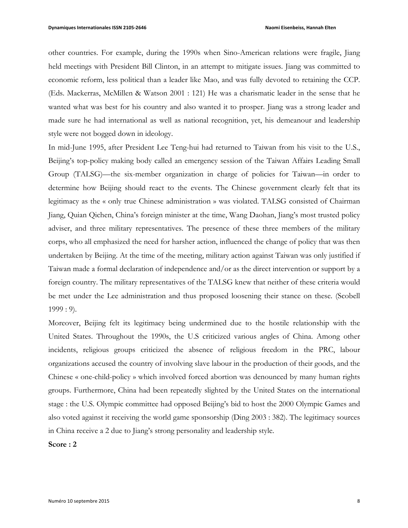other countries. For example, during the 1990s when Sino-American relations were fragile, Jiang held meetings with President Bill Clinton, in an attempt to mitigate issues. Jiang was committed to economic reform, less political than a leader like Mao, and was fully devoted to retaining the CCP. (Eds. Mackerras, McMillen & Watson 2001 : 121) He was a charismatic leader in the sense that he wanted what was best for his country and also wanted it to prosper. Jiang was a strong leader and made sure he had international as well as national recognition, yet, his demeanour and leadership style were not bogged down in ideology.

In mid-June 1995, after President Lee Teng-hui had returned to Taiwan from his visit to the U.S., Beijing's top-policy making body called an emergency session of the Taiwan Affairs Leading Small Group (TALSG)—the six-member organization in charge of policies for Taiwan—in order to determine how Beijing should react to the events. The Chinese government clearly felt that its legitimacy as the « only true Chinese administration » was violated. TALSG consisted of Chairman Jiang, Quian Qichen, China's foreign minister at the time, Wang Daohan, Jiang's most trusted policy adviser, and three military representatives. The presence of these three members of the military corps, who all emphasized the need for harsher action, influenced the change of policy that was then undertaken by Beijing. At the time of the meeting, military action against Taiwan was only justified if Taiwan made a formal declaration of independence and/or as the direct intervention or support by a foreign country. The military representatives of the TALSG knew that neither of these criteria would be met under the Lee administration and thus proposed loosening their stance on these. (Scobell  $1999:9$ .

Moreover, Beijing felt its legitimacy being undermined due to the hostile relationship with the United States. Throughout the 1990s, the U.S criticized various angles of China. Among other incidents, religious groups criticized the absence of religious freedom in the PRC, labour organizations accused the country of involving slave labour in the production of their goods, and the Chinese « one-child-policy » which involved forced abortion was denounced by many human rights groups. Furthermore, China had been repeatedly slighted by the United States on the international stage : the U.S. Olympic committee had opposed Beijing's bid to host the 2000 Olympic Games and also voted against it receiving the world game sponsorship (Ding 2003 : 382). The legitimacy sources in China receive a 2 due to Jiang's strong personality and leadership style.

**Score : 2**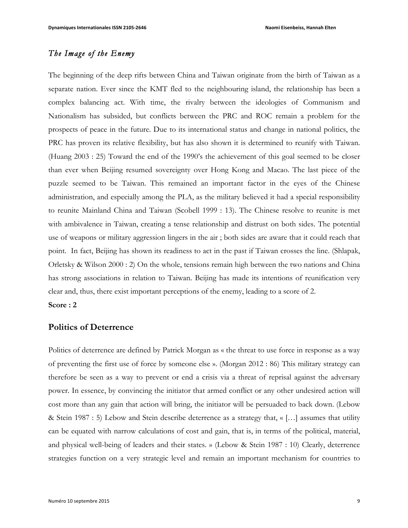# *The Image of the Enemy*

The beginning of the deep rifts between China and Taiwan originate from the birth of Taiwan as a separate nation. Ever since the KMT fled to the neighbouring island, the relationship has been a complex balancing act. With time, the rivalry between the ideologies of Communism and Nationalism has subsided, but conflicts between the PRC and ROC remain a problem for the prospects of peace in the future. Due to its international status and change in national politics, the PRC has proven its relative flexibility, but has also shown it is determined to reunify with Taiwan. (Huang 2003 : 25) Toward the end of the 1990's the achievement of this goal seemed to be closer than ever when Beijing resumed sovereignty over Hong Kong and Macao. The last piece of the puzzle seemed to be Taiwan. This remained an important factor in the eyes of the Chinese administration, and especially among the PLA, as the military believed it had a special responsibility to reunite Mainland China and Taiwan (Scobell 1999 : 13). The Chinese resolve to reunite is met with ambivalence in Taiwan, creating a tense relationship and distrust on both sides. The potential use of weapons or military aggression lingers in the air ; both sides are aware that it could reach that point. In fact, Beijing has shown its readiness to act in the past if Taiwan crosses the line. (Shlapak, Orletsky & Wilson 2000 : 2) On the whole, tensions remain high between the two nations and China has strong associations in relation to Taiwan. Beijing has made its intentions of reunification very clear and, thus, there exist important perceptions of the enemy, leading to a score of 2.

# **Score : 2**

#### **Politics of Deterrence**

Politics of deterrence are defined by Patrick Morgan as « the threat to use force in response as a way of preventing the first use of force by someone else ». (Morgan 2012 : 86) This military strategy can therefore be seen as a way to prevent or end a crisis via a threat of reprisal against the adversary power. In essence, by convincing the initiator that armed conflict or any other undesired action will cost more than any gain that action will bring, the initiator will be persuaded to back down. (Lebow & Stein 1987 : 5) Lebow and Stein describe deterrence as a strategy that, « […] assumes that utility can be equated with narrow calculations of cost and gain, that is, in terms of the political, material, and physical well-being of leaders and their states. » (Lebow & Stein 1987 : 10) Clearly, deterrence strategies function on a very strategic level and remain an important mechanism for countries to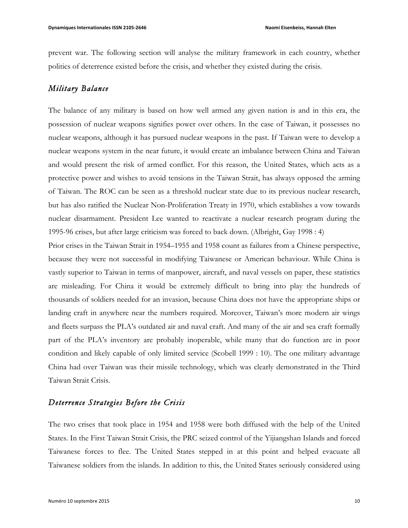prevent war. The following section will analyse the military framework in each country, whether politics of deterrence existed before the crisis, and whether they existed during the crisis.

## *Military Balance*

The balance of any military is based on how well armed any given nation is and in this era, the possession of nuclear weapons signifies power over others. In the case of Taiwan, it possesses no nuclear weapons, although it has pursued nuclear weapons in the past. If Taiwan were to develop a nuclear weapons system in the near future, it would create an imbalance between China and Taiwan and would present the risk of armed conflict. For this reason, the United States, which acts as a protective power and wishes to avoid tensions in the Taiwan Strait, has always opposed the arming of Taiwan. The ROC can be seen as a threshold nuclear state due to its previous nuclear research, but has also ratified the Nuclear Non-Proliferation Treaty in 1970, which establishes a vow towards nuclear disarmament. President Lee wanted to reactivate a nuclear research program during the 1995-96 crises, but after large criticism was forced to back down. (Albright, Gay 1998 : 4)

Prior crises in the Taiwan Strait in 1954–1955 and 1958 count as failures from a Chinese perspective, because they were not successful in modifying Taiwanese or American behaviour. While China is vastly superior to Taiwan in terms of manpower, aircraft, and naval vessels on paper, these statistics are misleading. For China it would be extremely difficult to bring into play the hundreds of thousands of soldiers needed for an invasion, because China does not have the appropriate ships or landing craft in anywhere near the numbers required. Moreover, Taiwan's more modern air wings and fleets surpass the PLA's outdated air and naval craft. And many of the air and sea craft formally part of the PLA's inventory are probably inoperable, while many that do function are in poor condition and likely capable of only limited service (Scobell 1999 : 10). The one military advantage China had over Taiwan was their missile technology, which was clearly demonstrated in the Third Taiwan Strait Crisis.

## *Deterrence Strategies Before the Crisis*

The two crises that took place in 1954 and 1958 were both diffused with the help of the United States. In the First Taiwan Strait Crisis, the PRC seized control of the Yijiangshan Islands and forced Taiwanese forces to flee. The United States stepped in at this point and helped evacuate all Taiwanese soldiers from the islands. In addition to this, the United States seriously considered using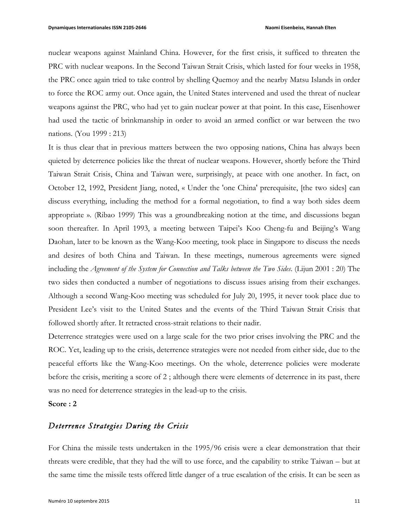nuclear weapons against Mainland China. However, for the first crisis, it sufficed to threaten the PRC with nuclear weapons. In the Second Taiwan Strait Crisis, which lasted for four weeks in 1958, the PRC once again tried to take control by shelling Quemoy and the nearby Matsu Islands in order to force the ROC army out. Once again, the United States intervened and used the threat of nuclear weapons against the PRC, who had yet to gain nuclear power at that point. In this case, Eisenhower had used the tactic of brinkmanship in order to avoid an armed conflict or war between the two nations. (You 1999 : 213)

It is thus clear that in previous matters between the two opposing nations, China has always been quieted by deterrence policies like the threat of nuclear weapons. However, shortly before the Third Taiwan Strait Crisis, China and Taiwan were, surprisingly, at peace with one another. In fact, on October 12, 1992, President Jiang, noted, « Under the 'one China' prerequisite, [the two sides] can discuss everything, including the method for a formal negotiation, to find a way both sides deem appropriate ». (Ribao 1999) This was a groundbreaking notion at the time, and discussions began soon thereafter. In April 1993, a meeting between Taipei's Koo Cheng-fu and Beijing's Wang Daohan, later to be known as the Wang-Koo meeting, took place in Singapore to discuss the needs and desires of both China and Taiwan. In these meetings, numerous agreements were signed including the *Agreement of the System for Connection and Talks between the Two Sides*. (Lijun 2001 : 20) The two sides then conducted a number of negotiations to discuss issues arising from their exchanges. Although a second Wang-Koo meeting was scheduled for July 20, 1995, it never took place due to President Lee's visit to the United States and the events of the Third Taiwan Strait Crisis that followed shortly after. It retracted cross-strait relations to their nadir.

Deterrence strategies were used on a large scale for the two prior crises involving the PRC and the ROC. Yet, leading up to the crisis, deterrence strategies were not needed from either side, due to the peaceful efforts like the Wang-Koo meetings. On the whole, deterrence policies were moderate before the crisis, meriting a score of 2 ; although there were elements of deterrence in its past, there was no need for deterrence strategies in the lead-up to the crisis.

#### **Score : 2**

## *Deterrence Strategies During the Crisis*

For China the missile tests undertaken in the 1995/96 crisis were a clear demonstration that their threats were credible, that they had the will to use force, and the capability to strike Taiwan – but at the same time the missile tests offered little danger of a true escalation of the crisis. It can be seen as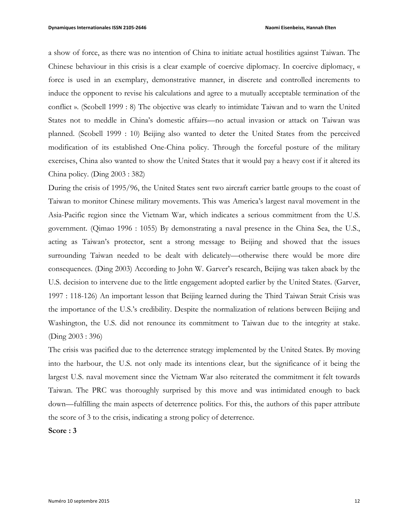a show of force, as there was no intention of China to initiate actual hostilities against Taiwan. The Chinese behaviour in this crisis is a clear example of coercive diplomacy. In coercive diplomacy, « force is used in an exemplary, demonstrative manner, in discrete and controlled increments to induce the opponent to revise his calculations and agree to a mutually acceptable termination of the conflict ». (Scobell 1999 : 8) The objective was clearly to intimidate Taiwan and to warn the United States not to meddle in China's domestic affairs—no actual invasion or attack on Taiwan was planned. (Scobell 1999 : 10) Beijing also wanted to deter the United States from the perceived modification of its established One-China policy. Through the forceful posture of the military exercises, China also wanted to show the United States that it would pay a heavy cost if it altered its China policy. (Ding 2003 : 382)

During the crisis of 1995/96, the United States sent two aircraft carrier battle groups to the coast of Taiwan to monitor Chinese military movements. This was America's largest naval movement in the Asia-Pacific region since the Vietnam War, which indicates a serious commitment from the U.S. government. (Qimao 1996 : 1055) By demonstrating a naval presence in the China Sea, the U.S., acting as Taiwan's protector, sent a strong message to Beijing and showed that the issues surrounding Taiwan needed to be dealt with delicately—otherwise there would be more dire consequences. (Ding 2003) According to John W. Garver's research, Beijing was taken aback by the U.S. decision to intervene due to the little engagement adopted earlier by the United States. (Garver, 1997 : 118-126) An important lesson that Beijing learned during the Third Taiwan Strait Crisis was the importance of the U.S.'s credibility. Despite the normalization of relations between Beijing and Washington, the U.S. did not renounce its commitment to Taiwan due to the integrity at stake. (Ding 2003 : 396)

The crisis was pacified due to the deterrence strategy implemented by the United States. By moving into the harbour, the U.S. not only made its intentions clear, but the significance of it being the largest U.S. naval movement since the Vietnam War also reiterated the commitment it felt towards Taiwan. The PRC was thoroughly surprised by this move and was intimidated enough to back down—fulfilling the main aspects of deterrence politics. For this, the authors of this paper attribute the score of 3 to the crisis, indicating a strong policy of deterrence.

**Score : 3**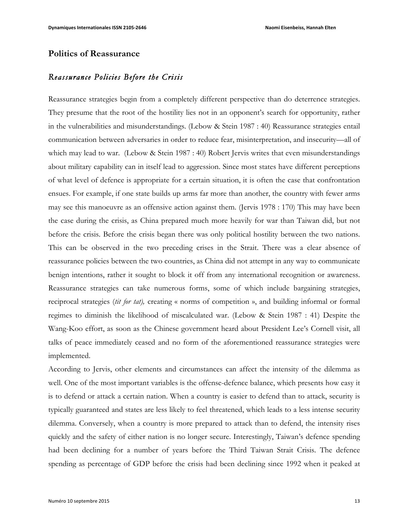#### **Politics of Reassurance**

## *Reassurance Policies Before the Crisis*

Reassurance strategies begin from a completely different perspective than do deterrence strategies. They presume that the root of the hostility lies not in an opponent's search for opportunity, rather in the vulnerabilities and misunderstandings. (Lebow & Stein 1987 : 40) Reassurance strategies entail communication between adversaries in order to reduce fear, misinterpretation, and insecurity—all of which may lead to war. (Lebow & Stein 1987 : 40) Robert Jervis writes that even misunderstandings about military capability can in itself lead to aggression. Since most states have different perceptions of what level of defence is appropriate for a certain situation, it is often the case that confrontation ensues. For example, if one state builds up arms far more than another, the country with fewer arms may see this manoeuvre as an offensive action against them. (Jervis 1978 : 170) This may have been the case during the crisis, as China prepared much more heavily for war than Taiwan did, but not before the crisis. Before the crisis began there was only political hostility between the two nations. This can be observed in the two preceding crises in the Strait. There was a clear absence of reassurance policies between the two countries, as China did not attempt in any way to communicate benign intentions, rather it sought to block it off from any international recognition or awareness. Reassurance strategies can take numerous forms, some of which include bargaining strategies, reciprocal strategies (*tit for tat),* creating « norms of competition », and building informal or formal regimes to diminish the likelihood of miscalculated war. (Lebow & Stein 1987 : 41) Despite the Wang-Koo effort, as soon as the Chinese government heard about President Lee's Cornell visit, all talks of peace immediately ceased and no form of the aforementioned reassurance strategies were implemented.

According to Jervis, other elements and circumstances can affect the intensity of the dilemma as well. One of the most important variables is the offense-defence balance, which presents how easy it is to defend or attack a certain nation. When a country is easier to defend than to attack, security is typically guaranteed and states are less likely to feel threatened, which leads to a less intense security dilemma. Conversely, when a country is more prepared to attack than to defend, the intensity rises quickly and the safety of either nation is no longer secure. Interestingly, Taiwan's defence spending had been declining for a number of years before the Third Taiwan Strait Crisis. The defence spending as percentage of GDP before the crisis had been declining since 1992 when it peaked at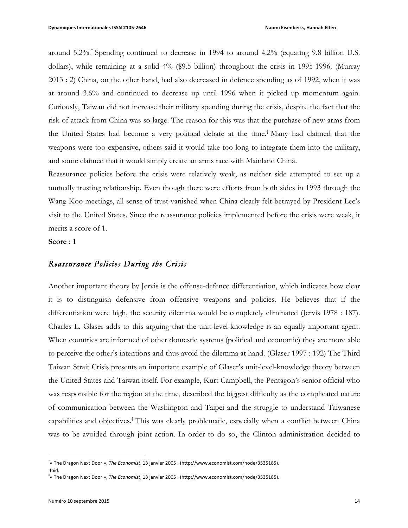around 5.2%.\* Spending continued to decrease in 1994 to around 4.2% (equating 9.8 billion U.S. dollars), while remaining at a solid 4% (\$9.5 billion) throughout the crisis in 1995-1996. (Murray 2013 : 2) China, on the other hand, had also decreased in defence spending as of 1992, when it was at around 3.6% and continued to decrease up until 1996 when it picked up momentum again. Curiously, Taiwan did not increase their military spending during the crisis, despite the fact that the risk of attack from China was so large. The reason for this was that the purchase of new arms from the United States had become a very political debate at the time. † Many had claimed that the weapons were too expensive, others said it would take too long to integrate them into the military, and some claimed that it would simply create an arms race with Mainland China.

Reassurance policies before the crisis were relatively weak, as neither side attempted to set up a mutually trusting relationship. Even though there were efforts from both sides in 1993 through the Wang-Koo meetings, all sense of trust vanished when China clearly felt betrayed by President Lee's visit to the United States. Since the reassurance policies implemented before the crisis were weak, it merits a score of 1.

**Score : 1**

### *Reassurance Policies During the Crisis*

Another important theory by Jervis is the offense-defence differentiation, which indicates how clear it is to distinguish defensive from offensive weapons and policies. He believes that if the differentiation were high, the security dilemma would be completely eliminated (Jervis 1978 : 187). Charles L. Glaser adds to this arguing that the unit-level-knowledge is an equally important agent. When countries are informed of other domestic systems (political and economic) they are more able to perceive the other's intentions and thus avoid the dilemma at hand. (Glaser 1997 : 192) The Third Taiwan Strait Crisis presents an important example of Glaser's unit-level-knowledge theory between the United States and Taiwan itself. For example, Kurt Campbell, the Pentagon's senior official who was responsible for the region at the time, described the biggest difficulty as the complicated nature of communication between the Washington and Taipei and the struggle to understand Taiwanese capabilities and objectives. ‡ This was clearly problematic, especially when a conflict between China was to be avoided through joint action. In order to do so, the Clinton administration decided to

 

<sup>\*</sup> « The Dragon Next Door », *The Economist*, 13 janvier 2005 : (http://www.economist.com/node/3535185). 

 $^{\dagger}$ Ibid.

 $^{\ddag}$ « The Dragon Next Door », *The Economist*, 13 janvier 2005 : (http://www.economist.com/node/3535185).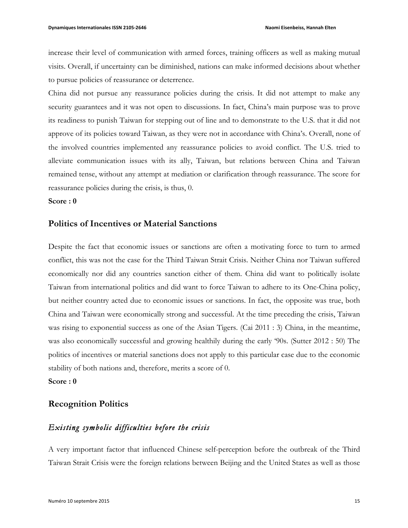increase their level of communication with armed forces, training officers as well as making mutual visits. Overall, if uncertainty can be diminished, nations can make informed decisions about whether to pursue policies of reassurance or deterrence.

China did not pursue any reassurance policies during the crisis. It did not attempt to make any security guarantees and it was not open to discussions. In fact, China's main purpose was to prove its readiness to punish Taiwan for stepping out of line and to demonstrate to the U.S. that it did not approve of its policies toward Taiwan, as they were not in accordance with China's. Overall, none of the involved countries implemented any reassurance policies to avoid conflict. The U.S. tried to alleviate communication issues with its ally, Taiwan, but relations between China and Taiwan remained tense, without any attempt at mediation or clarification through reassurance. The score for reassurance policies during the crisis, is thus, 0.

**Score : 0**

## **Politics of Incentives or Material Sanctions**

Despite the fact that economic issues or sanctions are often a motivating force to turn to armed conflict, this was not the case for the Third Taiwan Strait Crisis. Neither China nor Taiwan suffered economically nor did any countries sanction either of them. China did want to politically isolate Taiwan from international politics and did want to force Taiwan to adhere to its One-China policy, but neither country acted due to economic issues or sanctions. In fact, the opposite was true, both China and Taiwan were economically strong and successful. At the time preceding the crisis, Taiwan was rising to exponential success as one of the Asian Tigers. (Cai 2011 : 3) China, in the meantime, was also economically successful and growing healthily during the early '90s. (Sutter 2012 : 50) The politics of incentives or material sanctions does not apply to this particular case due to the economic stability of both nations and, therefore, merits a score of 0.

**Score : 0**

#### **Recognition Politics**

## *Existing symbolic difficulties before the crisis*

A very important factor that influenced Chinese self-perception before the outbreak of the Third Taiwan Strait Crisis were the foreign relations between Beijing and the United States as well as those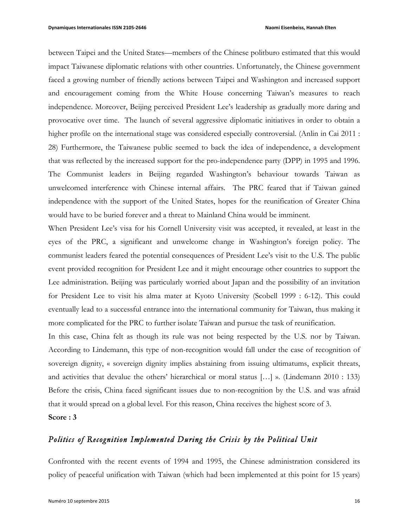between Taipei and the United States—members of the Chinese politburo estimated that this would impact Taiwanese diplomatic relations with other countries. Unfortunately, the Chinese government faced a growing number of friendly actions between Taipei and Washington and increased support and encouragement coming from the White House concerning Taiwan's measures to reach independence. Moreover, Beijing perceived President Lee's leadership as gradually more daring and provocative over time. The launch of several aggressive diplomatic initiatives in order to obtain a higher profile on the international stage was considered especially controversial. (Anlin in Cai 2011 : 28) Furthermore, the Taiwanese public seemed to back the idea of independence, a development that was reflected by the increased support for the pro-independence party (DPP) in 1995 and 1996. The Communist leaders in Beijing regarded Washington's behaviour towards Taiwan as unwelcomed interference with Chinese internal affairs. The PRC feared that if Taiwan gained independence with the support of the United States, hopes for the reunification of Greater China would have to be buried forever and a threat to Mainland China would be imminent.

When President Lee's visa for his Cornell University visit was accepted, it revealed, at least in the eyes of the PRC, a significant and unwelcome change in Washington's foreign policy. The communist leaders feared the potential consequences of President Lee's visit to the U.S. The public event provided recognition for President Lee and it might encourage other countries to support the Lee administration. Beijing was particularly worried about Japan and the possibility of an invitation for President Lee to visit his alma mater at Kyoto University (Scobell 1999 : 6-12). This could eventually lead to a successful entrance into the international community for Taiwan, thus making it more complicated for the PRC to further isolate Taiwan and pursue the task of reunification.

In this case, China felt as though its rule was not being respected by the U.S. nor by Taiwan. According to Lindemann, this type of non-recognition would fall under the case of recognition of sovereign dignity, « sovereign dignity implies abstaining from issuing ultimatums, explicit threats, and activities that devalue the others' hierarchical or moral status […] ». (Lindemann 2010 : 133) Before the crisis, China faced significant issues due to non-recognition by the U.S. and was afraid that it would spread on a global level. For this reason, China receives the highest score of 3.

# **Score : 3**

## *Politics of Recognition Implemented During the Crisis by the Political Unit*

Confronted with the recent events of 1994 and 1995, the Chinese administration considered its policy of peaceful unification with Taiwan (which had been implemented at this point for 15 years)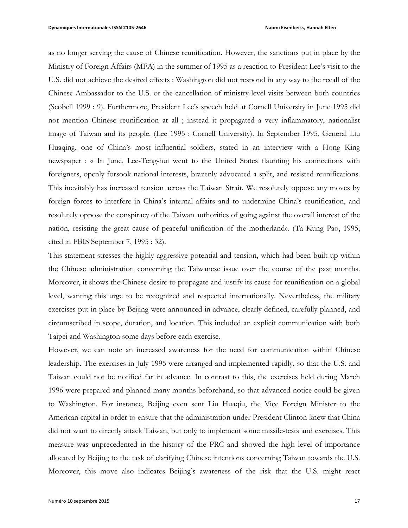as no longer serving the cause of Chinese reunification. However, the sanctions put in place by the Ministry of Foreign Affairs (MFA) in the summer of 1995 as a reaction to President Lee's visit to the U.S. did not achieve the desired effects : Washington did not respond in any way to the recall of the Chinese Ambassador to the U.S. or the cancellation of ministry-level visits between both countries (Scobell 1999 : 9). Furthermore, President Lee's speech held at Cornell University in June 1995 did not mention Chinese reunification at all ; instead it propagated a very inflammatory, nationalist image of Taiwan and its people. (Lee 1995 : Cornell University). In September 1995, General Liu Huaqing, one of China's most influential soldiers, stated in an interview with a Hong King newspaper : « In June, Lee-Teng-hui went to the United States flaunting his connections with foreigners, openly forsook national interests, brazenly advocated a split, and resisted reunifications. This inevitably has increased tension across the Taiwan Strait. We resolutely oppose any moves by foreign forces to interfere in China's internal affairs and to undermine China's reunification, and resolutely oppose the conspiracy of the Taiwan authorities of going against the overall interest of the nation, resisting the great cause of peaceful unification of the motherland». (Ta Kung Pao, 1995, cited in FBIS September 7, 1995 : 32).

This statement stresses the highly aggressive potential and tension, which had been built up within the Chinese administration concerning the Taiwanese issue over the course of the past months. Moreover, it shows the Chinese desire to propagate and justify its cause for reunification on a global level, wanting this urge to be recognized and respected internationally. Nevertheless, the military exercises put in place by Beijing were announced in advance, clearly defined, carefully planned, and circumscribed in scope, duration, and location. This included an explicit communication with both Taipei and Washington some days before each exercise.

However, we can note an increased awareness for the need for communication within Chinese leadership. The exercises in July 1995 were arranged and implemented rapidly, so that the U.S. and Taiwan could not be notified far in advance. In contrast to this, the exercises held during March 1996 were prepared and planned many months beforehand, so that advanced notice could be given to Washington. For instance, Beijing even sent Liu Huaqiu, the Vice Foreign Minister to the American capital in order to ensure that the administration under President Clinton knew that China did not want to directly attack Taiwan, but only to implement some missile-tests and exercises. This measure was unprecedented in the history of the PRC and showed the high level of importance allocated by Beijing to the task of clarifying Chinese intentions concerning Taiwan towards the U.S. Moreover, this move also indicates Beijing's awareness of the risk that the U.S. might react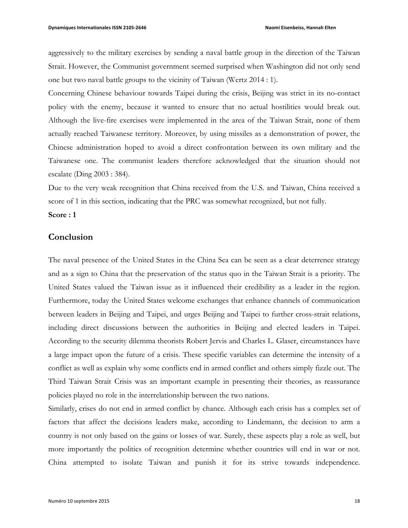aggressively to the military exercises by sending a naval battle group in the direction of the Taiwan Strait. However, the Communist government seemed surprised when Washington did not only send one but two naval battle groups to the vicinity of Taiwan (Wertz 2014 : 1).

Concerning Chinese behaviour towards Taipei during the crisis, Beijing was strict in its no-contact policy with the enemy, because it wanted to ensure that no actual hostilities would break out. Although the live-fire exercises were implemented in the area of the Taiwan Strait, none of them actually reached Taiwanese territory. Moreover, by using missiles as a demonstration of power, the Chinese administration hoped to avoid a direct confrontation between its own military and the Taiwanese one. The communist leaders therefore acknowledged that the situation should not escalate (Ding 2003 : 384).

Due to the very weak recognition that China received from the U.S. and Taiwan, China received a score of 1 in this section, indicating that the PRC was somewhat recognized, but not fully.

#### **Score : 1**

#### **Conclusion**

The naval presence of the United States in the China Sea can be seen as a clear deterrence strategy and as a sign to China that the preservation of the status quo in the Taiwan Strait is a priority. The United States valued the Taiwan issue as it influenced their credibility as a leader in the region. Furthermore, today the United States welcome exchanges that enhance channels of communication between leaders in Beijing and Taipei, and urges Beijing and Taipei to further cross-strait relations, including direct discussions between the authorities in Beijing and elected leaders in Taipei. According to the security dilemma theorists Robert Jervis and Charles L. Glaser, circumstances have a large impact upon the future of a crisis. These specific variables can determine the intensity of a conflict as well as explain why some conflicts end in armed conflict and others simply fizzle out. The Third Taiwan Strait Crisis was an important example in presenting their theories, as reassurance policies played no role in the interrelationship between the two nations.

Similarly, crises do not end in armed conflict by chance. Although each crisis has a complex set of factors that affect the decisions leaders make, according to Lindemann, the decision to arm a country is not only based on the gains or losses of war. Surely, these aspects play a role as well, but more importantly the politics of recognition determine whether countries will end in war or not. China attempted to isolate Taiwan and punish it for its strive towards independence.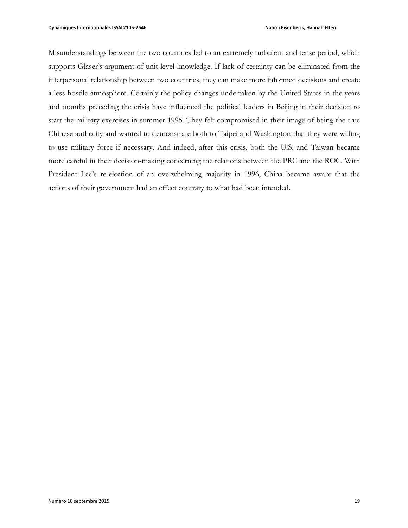Misunderstandings between the two countries led to an extremely turbulent and tense period, which supports Glaser's argument of unit-level-knowledge. If lack of certainty can be eliminated from the interpersonal relationship between two countries, they can make more informed decisions and create a less-hostile atmosphere. Certainly the policy changes undertaken by the United States in the years and months preceding the crisis have influenced the political leaders in Beijing in their decision to start the military exercises in summer 1995. They felt compromised in their image of being the true Chinese authority and wanted to demonstrate both to Taipei and Washington that they were willing to use military force if necessary. And indeed, after this crisis, both the U.S. and Taiwan became more careful in their decision-making concerning the relations between the PRC and the ROC. With President Lee's re-election of an overwhelming majority in 1996, China became aware that the actions of their government had an effect contrary to what had been intended.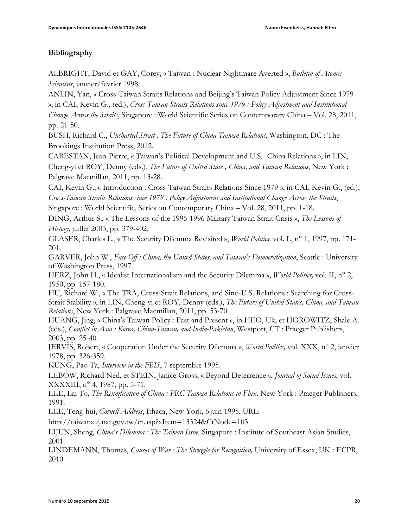## **Bibliography**

ALBRIGHT, David et GAY, Corey, « Taiwan : Nuclear Nightmare Averted », *Bulletin of Atomic Scientists*, janvier/fevrier 1998.

ANLIN, Yan, « Cross-Taiwan Straits Relations and Beijing's Taiwan Policy Adjustment Since 1979 », in CAI, Kevin G., (ed.), *Cross-Taiwan Straits Relations since 1979 : Policy Adjustment and Institutional Change Across the Straits*, Singapore : World Scientific Series on Contemporary China – Vol. 28, 2011, pp. 21-50.

BUSH, Richard C., *Uncharted Strait : The Future of China-Taiwan Relations*, Washington, DC : The Brookings Institution Press, 2012.

CABESTAN, Jean-Pierre, « Taiwan's Political Development and U.S.- China Relations », in LIN, Cheng-yi et ROY, Denny (eds.), *The Future of United States, China, and Taiwan Relations*, New York : Palgrave Macmillan, 2011, pp. 13-28.

CAI, Kevin G., « Introduction : Cross-Taiwan Straits Relations Since 1979 », in CAI, Kevin G., (ed.), *Cross-Taiwan Straits Relations since 1979 : Policy Adjustment and Institutional Change Across the Straits*,

Singapore : World Scientific, Series on Contemporary China – Vol. 28, 2011, pp. 1-18.

DING, Arthur S., « The Lessons of the 1995-1996 Military Taiwan Strait Crisis », *The Lessons of History,* juillet 2003, pp. 379-402.

GLASER, Charles L., « The Security Dilemma Revisited », *World Politics,* vol. L, n° 1, 1997, pp. 171- 201.

GARVER, John W., *Face Off : China, the United States, and Taiwan's Democratization*, Seattle : University of Washington Press, 1997.

HERZ, John H., « Idealist Internationalism and the Security Dilemma », *World Politics,* vol. II, n° 2, 1950, pp. 157-180.

HU, Richard W., « The TRA, Cross-Strait Relations, and Sino-U.S. Relations : Searching for Cross-Strait Stability », in LIN, Cheng-yi et ROY, Denny (eds.), *The Future of United States, China, and Taiwan Relations*, New York : Palgrave Macmillan, 2011, pp. 53-70.

HUANG, Jing, « China's Taiwan Policy : Past and Present », in HEO, Uk, et HOROWITZ, Shale A. (eds.), *Conflict in Asia : Korea, China-Taiwan, and India-Pakistan*, Westport, CT : Praeger Publishers, 2003, pp. 25-40.

JERVIS, Robert, « Cooperation Under the Security Dilemma », *World Politics,* vol. XXX, n° 2, janvier 1978, pp. 326-359.

KUNG, Pao Ta, *Interview in the FBIS*, 7 septembre 1995.

LEBOW, Richard Ned, et STEIN, Janice Gross, « Beyond Deterrence », *Journal of Social Issues*, vol. XXXXIII, n° 4, 1987, pp. 5-71.

LEE, Lai To, *The Reunification of China : PRC-Taiwan Relations in Flux,* New York : Praeger Publishers, 1991.

LEE, Teng-hui, *Cornell Address*, Ithaca, New York, 6 juin 1995, URL:

http://taiwanauj.nat.gov.tw/ct.asp?xItem=13324&CtNode=103

LIJUN, Sheng, *China's Dilemma : The Taiwan Issue,* Singapore : Institute of Southeast Asian Studies, 2001.

LINDEMANN, Thomas, *Causes of War : The Struggle for Recognition,* University of Essex, UK : ECPR, 2010.